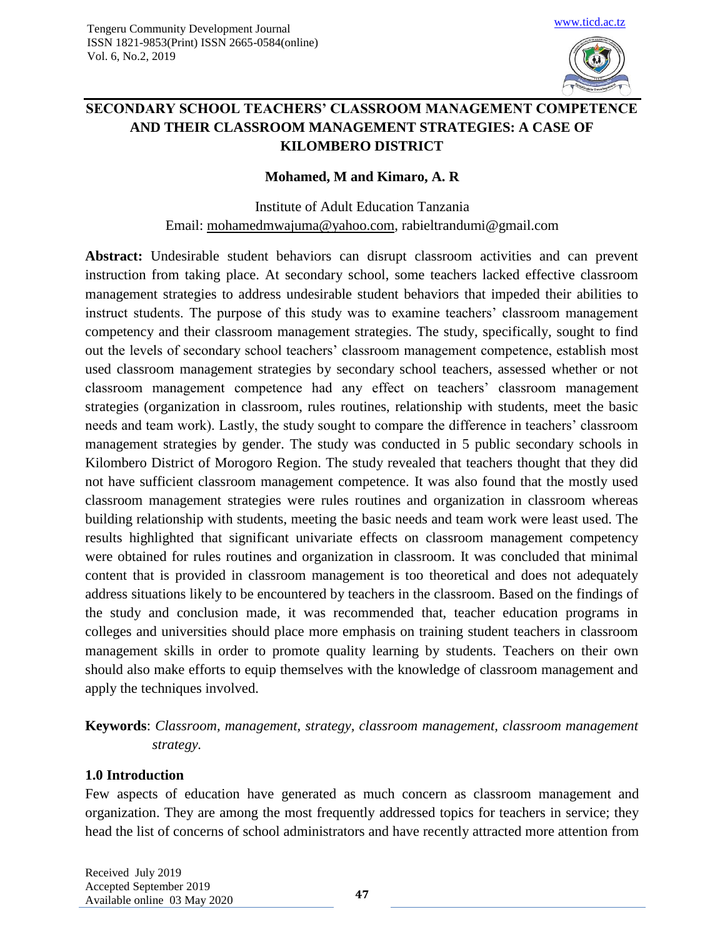

# **SECONDARY SCHOOL TEACHERS' CLASSROOM MANAGEMENT COMPETENCE AND THEIR CLASSROOM MANAGEMENT STRATEGIES: A CASE OF KILOMBERO DISTRICT**

#### **Mohamed, M and Kimaro, A. R**

Institute of Adult Education Tanzania Email: [mohamedmwajuma@yahoo.com,](mailto:mohamedmwajuma@yahoo.com) rabieltrandumi@gmail.com

**Abstract:** Undesirable student behaviors can disrupt classroom activities and can prevent instruction from taking place. At secondary school, some teachers lacked effective classroom management strategies to address undesirable student behaviors that impeded their abilities to instruct students. The purpose of this study was to examine teachers' classroom management competency and their classroom management strategies. The study, specifically, sought to find out the levels of secondary school teachers' classroom management competence, establish most used classroom management strategies by secondary school teachers, assessed whether or not classroom management competence had any effect on teachers' classroom management strategies (organization in classroom, rules routines, relationship with students, meet the basic needs and team work). Lastly, the study sought to compare the difference in teachers' classroom management strategies by gender. The study was conducted in 5 public secondary schools in Kilombero District of Morogoro Region. The study revealed that teachers thought that they did not have sufficient classroom management competence. It was also found that the mostly used classroom management strategies were rules routines and organization in classroom whereas building relationship with students, meeting the basic needs and team work were least used. The results highlighted that significant univariate effects on classroom management competency were obtained for rules routines and organization in classroom. It was concluded that minimal content that is provided in classroom management is too theoretical and does not adequately address situations likely to be encountered by teachers in the classroom. Based on the findings of the study and conclusion made, it was recommended that, teacher education programs in colleges and universities should place more emphasis on training student teachers in classroom management skills in order to promote quality learning by students. Teachers on their own should also make efforts to equip themselves with the knowledge of classroom management and apply the techniques involved.

**Keywords**: *Classroom, management, strategy, classroom management, classroom management strategy.*

## **1.0 Introduction**

Few aspects of education have generated as much concern as classroom management and organization. They are among the most frequently addressed topics for teachers in service; they head the list of concerns of school administrators and have recently attracted more attention from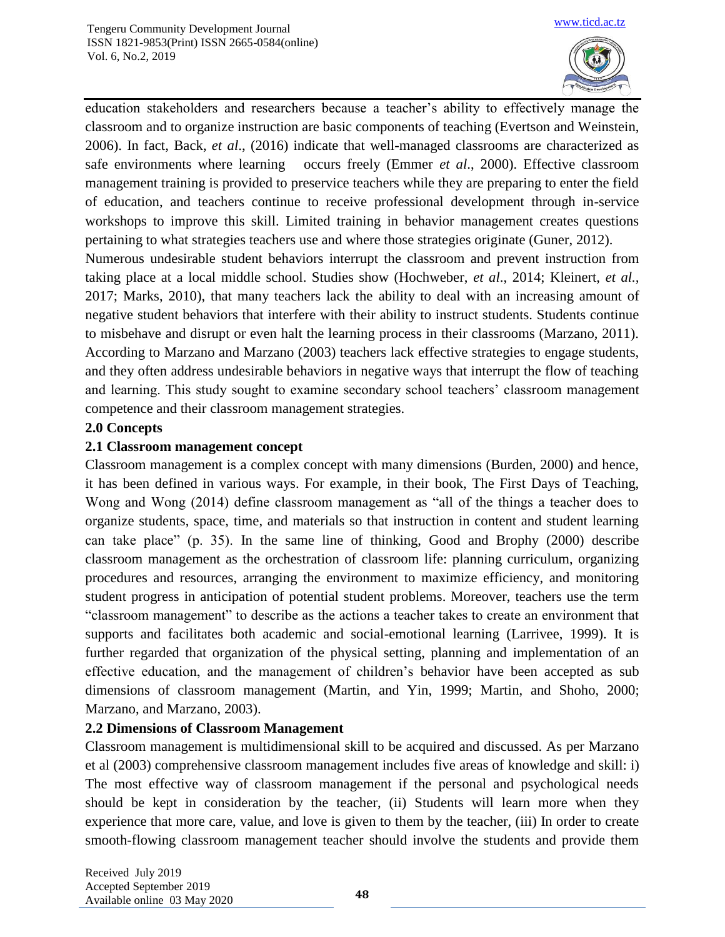

education stakeholders and researchers because a teacher's ability to effectively manage the classroom and to organize instruction are basic components of teaching (Evertson and Weinstein, 2006). In fact, Back, *et al*., (2016) indicate that well-managed classrooms are characterized as safe environments where learning occurs freely (Emmer *et al*., 2000). Effective classroom management training is provided to preservice teachers while they are preparing to enter the field of education, and teachers continue to receive professional development through in-service workshops to improve this skill. Limited training in behavior management creates questions pertaining to what strategies teachers use and where those strategies originate (Guner, 2012).

Numerous undesirable student behaviors interrupt the classroom and prevent instruction from taking place at a local middle school. Studies show (Hochweber, *et al*., 2014; Kleinert, *et al.,* 2017; Marks, 2010), that many teachers lack the ability to deal with an increasing amount of negative student behaviors that interfere with their ability to instruct students. Students continue to misbehave and disrupt or even halt the learning process in their classrooms (Marzano, 2011). According to Marzano and Marzano (2003) teachers lack effective strategies to engage students, and they often address undesirable behaviors in negative ways that interrupt the flow of teaching and learning. This study sought to examine secondary school teachers' classroom management competence and their classroom management strategies.

## **2.0 Concepts**

## **2.1 Classroom management concept**

Classroom management is a complex concept with many dimensions (Burden, 2000) and hence, it has been defined in various ways. For example, in their book, The First Days of Teaching, Wong and Wong (2014) define classroom management as "all of the things a teacher does to organize students, space, time, and materials so that instruction in content and student learning can take place" (p. 35). In the same line of thinking, Good and Brophy (2000) describe classroom management as the orchestration of classroom life: planning curriculum, organizing procedures and resources, arranging the environment to maximize efficiency, and monitoring student progress in anticipation of potential student problems. Moreover, teachers use the term "classroom management" to describe as the actions a teacher takes to create an environment that supports and facilitates both academic and social-emotional learning (Larrivee, 1999). It is further regarded that organization of the physical setting, planning and implementation of an effective education, and the management of children's behavior have been accepted as sub dimensions of classroom management (Martin, and Yin, 1999; Martin, and Shoho, 2000; Marzano, and Marzano, 2003).

## **2.2 Dimensions of Classroom Management**

Classroom management is multidimensional skill to be acquired and discussed. As per Marzano et al (2003) comprehensive classroom management includes five areas of knowledge and skill: i) The most effective way of classroom management if the personal and psychological needs should be kept in consideration by the teacher, (ii) Students will learn more when they experience that more care, value, and love is given to them by the teacher, (iii) In order to create smooth-flowing classroom management teacher should involve the students and provide them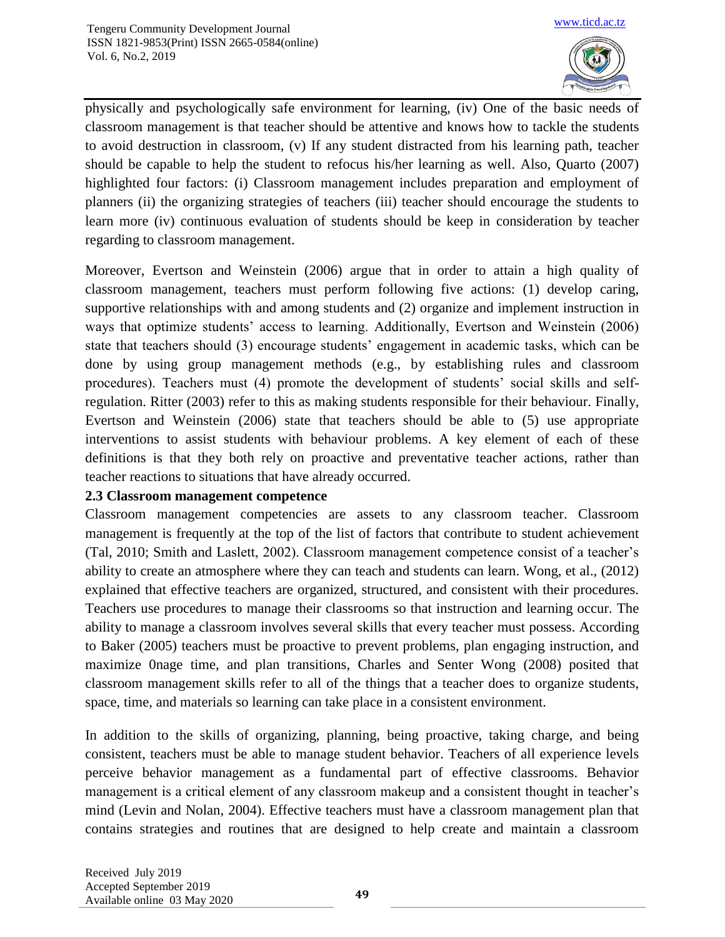

physically and psychologically safe environment for learning, (iv) One of the basic needs of classroom management is that teacher should be attentive and knows how to tackle the students to avoid destruction in classroom, (v) If any student distracted from his learning path, teacher should be capable to help the student to refocus his/her learning as well. Also, Quarto (2007) highlighted four factors: (i) Classroom management includes preparation and employment of planners (ii) the organizing strategies of teachers (iii) teacher should encourage the students to learn more (iv) continuous evaluation of students should be keep in consideration by teacher regarding to classroom management.

Moreover, Evertson and Weinstein (2006) argue that in order to attain a high quality of classroom management, teachers must perform following five actions: (1) develop caring, supportive relationships with and among students and (2) organize and implement instruction in ways that optimize students' access to learning. Additionally, Evertson and Weinstein (2006) state that teachers should (3) encourage students' engagement in academic tasks, which can be done by using group management methods (e.g., by establishing rules and classroom procedures). Teachers must (4) promote the development of students' social skills and selfregulation. Ritter (2003) refer to this as making students responsible for their behaviour. Finally, Evertson and Weinstein (2006) state that teachers should be able to (5) use appropriate interventions to assist students with behaviour problems. A key element of each of these definitions is that they both rely on proactive and preventative teacher actions, rather than teacher reactions to situations that have already occurred.

## **2.3 Classroom management competence**

Classroom management competencies are assets to any classroom teacher. Classroom management is frequently at the top of the list of factors that contribute to student achievement (Tal, 2010; Smith and Laslett, 2002). Classroom management competence consist of a teacher's ability to create an atmosphere where they can teach and students can learn. Wong, et al., (2012) explained that effective teachers are organized, structured, and consistent with their procedures. Teachers use procedures to manage their classrooms so that instruction and learning occur. The ability to manage a classroom involves several skills that every teacher must possess. According to Baker (2005) teachers must be proactive to prevent problems, plan engaging instruction, and maximize 0nage time, and plan transitions, Charles and Senter Wong (2008) posited that classroom management skills refer to all of the things that a teacher does to organize students, space, time, and materials so learning can take place in a consistent environment.

In addition to the skills of organizing, planning, being proactive, taking charge, and being consistent, teachers must be able to manage student behavior. Teachers of all experience levels perceive behavior management as a fundamental part of effective classrooms. Behavior management is a critical element of any classroom makeup and a consistent thought in teacher's mind (Levin and Nolan, 2004). Effective teachers must have a classroom management plan that contains strategies and routines that are designed to help create and maintain a classroom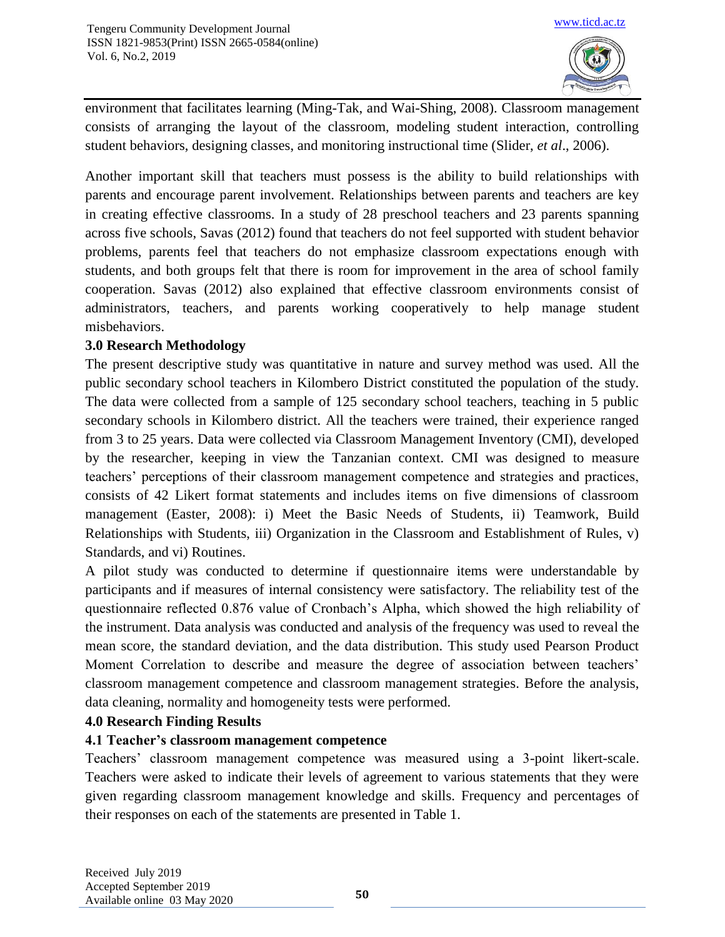

environment that facilitates learning (Ming-Tak, and Wai-Shing, 2008). Classroom management consists of arranging the layout of the classroom, modeling student interaction, controlling student behaviors, designing classes, and monitoring instructional time (Slider, *et al*., 2006).

Another important skill that teachers must possess is the ability to build relationships with parents and encourage parent involvement. Relationships between parents and teachers are key in creating effective classrooms. In a study of 28 preschool teachers and 23 parents spanning across five schools, Savas (2012) found that teachers do not feel supported with student behavior problems, parents feel that teachers do not emphasize classroom expectations enough with students, and both groups felt that there is room for improvement in the area of school family cooperation. Savas (2012) also explained that effective classroom environments consist of administrators, teachers, and parents working cooperatively to help manage student misbehaviors.

## **3.0 Research Methodology**

The present descriptive study was quantitative in nature and survey method was used. All the public secondary school teachers in Kilombero District constituted the population of the study. The data were collected from a sample of 125 secondary school teachers, teaching in 5 public secondary schools in Kilombero district. All the teachers were trained, their experience ranged from 3 to 25 years. Data were collected via Classroom Management Inventory (CMI), developed by the researcher, keeping in view the Tanzanian context. CMI was designed to measure teachers' perceptions of their classroom management competence and strategies and practices, consists of 42 Likert format statements and includes items on five dimensions of classroom management (Easter, 2008): i) Meet the Basic Needs of Students, ii) Teamwork, Build Relationships with Students, iii) Organization in the Classroom and Establishment of Rules, v) Standards, and vi) Routines.

A pilot study was conducted to determine if questionnaire items were understandable by participants and if measures of internal consistency were satisfactory. The reliability test of the questionnaire reflected 0.876 value of Cronbach's Alpha, which showed the high reliability of the instrument. Data analysis was conducted and analysis of the frequency was used to reveal the mean score, the standard deviation, and the data distribution. This study used Pearson Product Moment Correlation to describe and measure the degree of association between teachers' classroom management competence and classroom management strategies. Before the analysis, data cleaning, normality and homogeneity tests were performed.

## **4.0 Research Finding Results**

## **4.1 Teacher's classroom management competence**

Teachers' classroom management competence was measured using a 3-point likert-scale. Teachers were asked to indicate their levels of agreement to various statements that they were given regarding classroom management knowledge and skills. Frequency and percentages of their responses on each of the statements are presented in Table 1.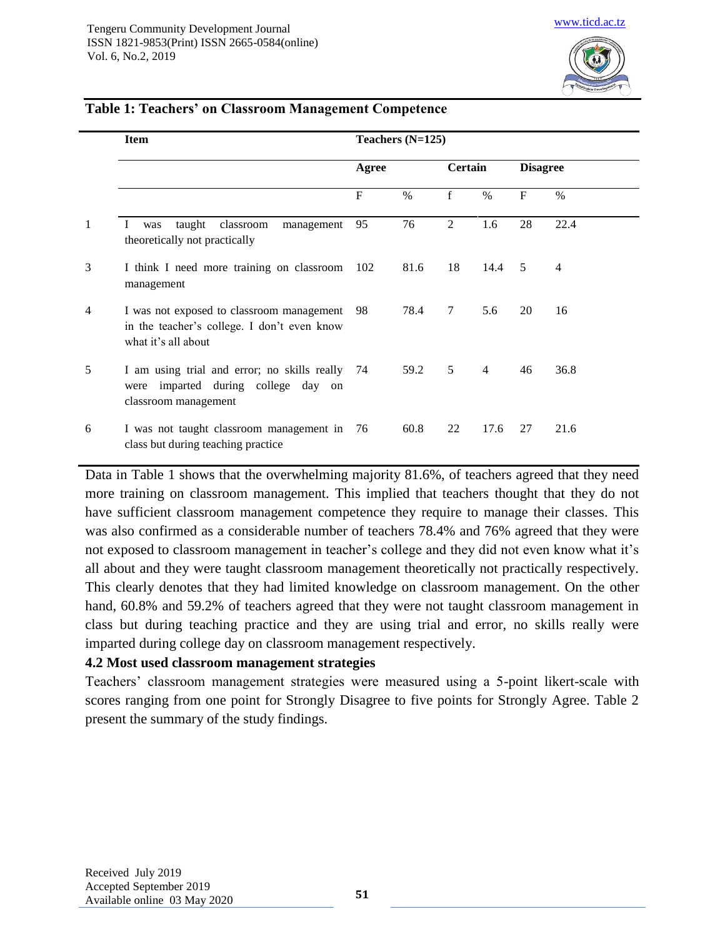

|                | <b>Item</b>                                                                                                     | Teachers (N=125) |      |             |                |                 |                |
|----------------|-----------------------------------------------------------------------------------------------------------------|------------------|------|-------------|----------------|-----------------|----------------|
|                |                                                                                                                 | Agree            |      | Certain     |                | <b>Disagree</b> |                |
|                |                                                                                                                 | $\mathbf{F}$     | $\%$ | $\mathbf f$ | $\%$           | $\mathbf{F}$    | $\%$           |
| $\mathbf{1}$   | taught classroom<br>management<br>was<br>theoretically not practically                                          | 95               | 76   | 2           | 1.6            | 28              | 22.4           |
| 3              | I think I need more training on classroom<br>management                                                         | 102              | 81.6 | 18          | 14.4           | 5               | $\overline{4}$ |
| $\overline{4}$ | I was not exposed to classroom management<br>in the teacher's college. I don't even know<br>what it's all about | 98               | 78.4 | 7           | 5.6            | 20              | 16             |
| 5              | I am using trial and error; no skills really 74<br>were imparted during college day on<br>classroom management  |                  | 59.2 | 5           | $\overline{4}$ | 46              | 36.8           |
| 6              | I was not taught classroom management in 76<br>class but during teaching practice                               |                  | 60.8 | 22          | 17.6           | 27              | 21.6           |

#### **Table 1: Teachers' on Classroom Management Competence**

Data in Table 1 shows that the overwhelming majority 81.6%, of teachers agreed that they need more training on classroom management. This implied that teachers thought that they do not have sufficient classroom management competence they require to manage their classes. This was also confirmed as a considerable number of teachers 78.4% and 76% agreed that they were not exposed to classroom management in teacher's college and they did not even know what it's all about and they were taught classroom management theoretically not practically respectively. This clearly denotes that they had limited knowledge on classroom management. On the other hand, 60.8% and 59.2% of teachers agreed that they were not taught classroom management in class but during teaching practice and they are using trial and error, no skills really were imparted during college day on classroom management respectively.

#### **4.2 Most used classroom management strategies**

Teachers' classroom management strategies were measured using a 5-point likert-scale with scores ranging from one point for Strongly Disagree to five points for Strongly Agree. Table 2 present the summary of the study findings.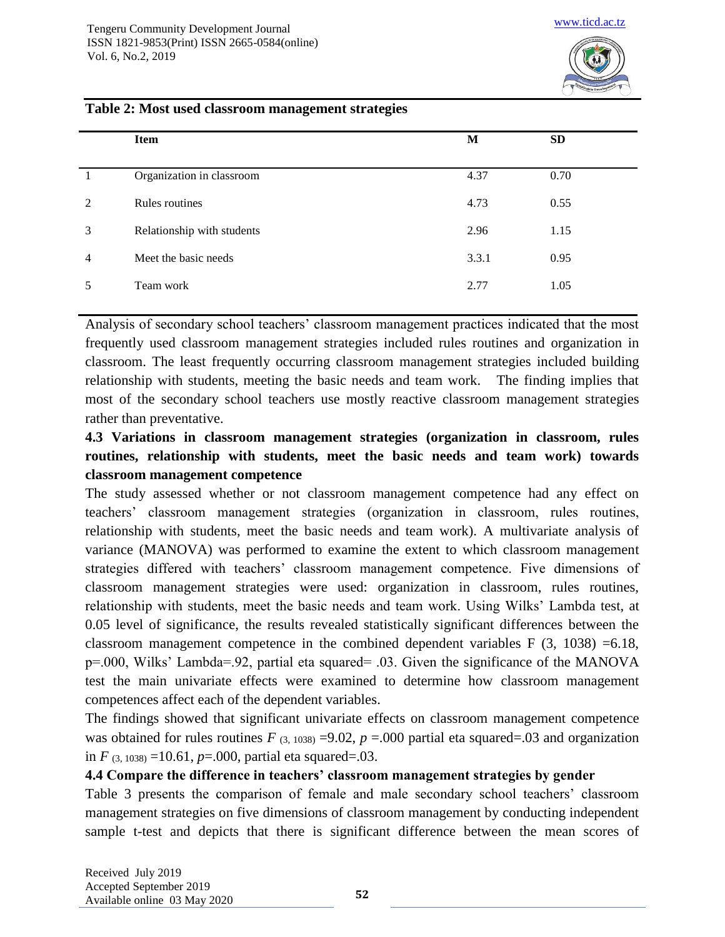

#### **Table 2: Most used classroom management strategies**

|   | Item                       | M     | <b>SD</b> |
|---|----------------------------|-------|-----------|
|   | Organization in classroom  | 4.37  | 0.70      |
| 2 | Rules routines             | 4.73  | 0.55      |
| 3 | Relationship with students | 2.96  | 1.15      |
| 4 | Meet the basic needs       | 3.3.1 | 0.95      |
| 5 | Team work                  | 2.77  | 1.05      |

Analysis of secondary school teachers' classroom management practices indicated that the most frequently used classroom management strategies included rules routines and organization in classroom. The least frequently occurring classroom management strategies included building relationship with students, meeting the basic needs and team work. The finding implies that most of the secondary school teachers use mostly reactive classroom management strategies rather than preventative.

# **4.3 Variations in classroom management strategies (organization in classroom, rules routines, relationship with students, meet the basic needs and team work) towards classroom management competence**

The study assessed whether or not classroom management competence had any effect on teachers' classroom management strategies (organization in classroom, rules routines, relationship with students, meet the basic needs and team work). A multivariate analysis of variance (MANOVA) was performed to examine the extent to which classroom management strategies differed with teachers' classroom management competence. Five dimensions of classroom management strategies were used: organization in classroom, rules routines, relationship with students, meet the basic needs and team work. Using Wilks' Lambda test, at 0.05 level of significance, the results revealed statistically significant differences between the classroom management competence in the combined dependent variables F (3, 1038) =6.18, p=.000, Wilks' Lambda=.92, partial eta squared= .03. Given the significance of the MANOVA test the main univariate effects were examined to determine how classroom management competences affect each of the dependent variables.

The findings showed that significant univariate effects on classroom management competence was obtained for rules routines  $F_{(3, 1038)} = 9.02$ ,  $p = .000$  partial eta squared=.03 and organization in *F* (3, 1038) =10.61, *p*=.000, partial eta squared=.03.

#### **4.4 Compare the difference in teachers' classroom management strategies by gender**

Table 3 presents the comparison of female and male secondary school teachers' classroom management strategies on five dimensions of classroom management by conducting independent sample t-test and depicts that there is significant difference between the mean scores of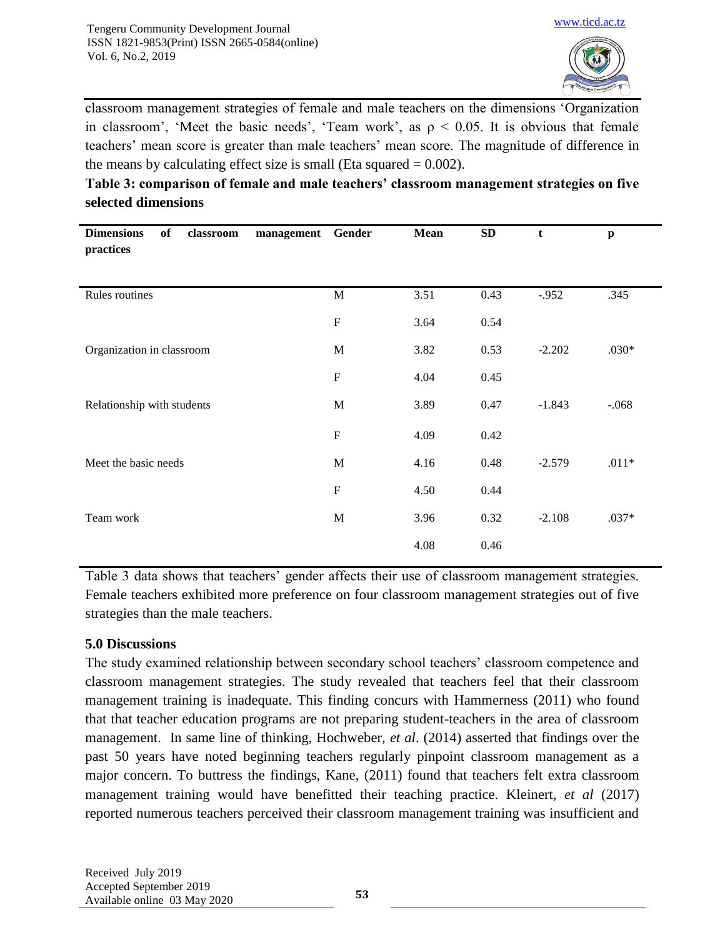

classroom management strategies of female and male teachers on the dimensions 'Organization in classroom', 'Meet the basic needs', 'Team work', as  $\rho < 0.05$ . It is obvious that female teachers' mean score is greater than male teachers' mean score. The magnitude of difference in the means by calculating effect size is small (Eta squared  $= 0.002$ ).

**Table 3: comparison of female and male teachers' classroom management strategies on five selected dimensions** 

| <b>Dimensions</b><br>of<br>classroom<br>management<br>practices | Gender       | Mean | ${\bf SD}$ | t        | $\mathbf{p}$ |
|-----------------------------------------------------------------|--------------|------|------------|----------|--------------|
| Rules routines                                                  | $\mathbf M$  | 3.51 | 0.43       | $-.952$  | .345         |
|                                                                 | ${\bf F}$    | 3.64 | 0.54       |          |              |
| Organization in classroom                                       | M            | 3.82 | 0.53       | $-2.202$ | $.030*$      |
|                                                                 | $\mathbf F$  | 4.04 | 0.45       |          |              |
| Relationship with students                                      | $\mathbf{M}$ | 3.89 | 0.47       | $-1.843$ | $-.068$      |
|                                                                 | ${\bf F}$    | 4.09 | 0.42       |          |              |
| Meet the basic needs                                            | M            | 4.16 | 0.48       | $-2.579$ | $.011*$      |
|                                                                 | $\mathbf F$  | 4.50 | 0.44       |          |              |
| Team work                                                       | $\mathbf M$  | 3.96 | 0.32       | $-2.108$ | $.037*$      |
|                                                                 |              | 4.08 | 0.46       |          |              |

Table 3 data shows that teachers' gender affects their use of classroom management strategies. Female teachers exhibited more preference on four classroom management strategies out of five strategies than the male teachers.

## **5.0 Discussions**

The study examined relationship between secondary school teachers' classroom competence and classroom management strategies. The study revealed that teachers feel that their classroom management training is inadequate. This finding concurs with Hammerness (2011) who found that that teacher education programs are not preparing student-teachers in the area of classroom management. In same line of thinking, Hochweber, *et al*. (2014) asserted that findings over the past 50 years have noted beginning teachers regularly pinpoint classroom management as a major concern. To buttress the findings, Kane, (2011) found that teachers felt extra classroom management training would have benefitted their teaching practice. Kleinert, *et al* (2017) reported numerous teachers perceived their classroom management training was insufficient and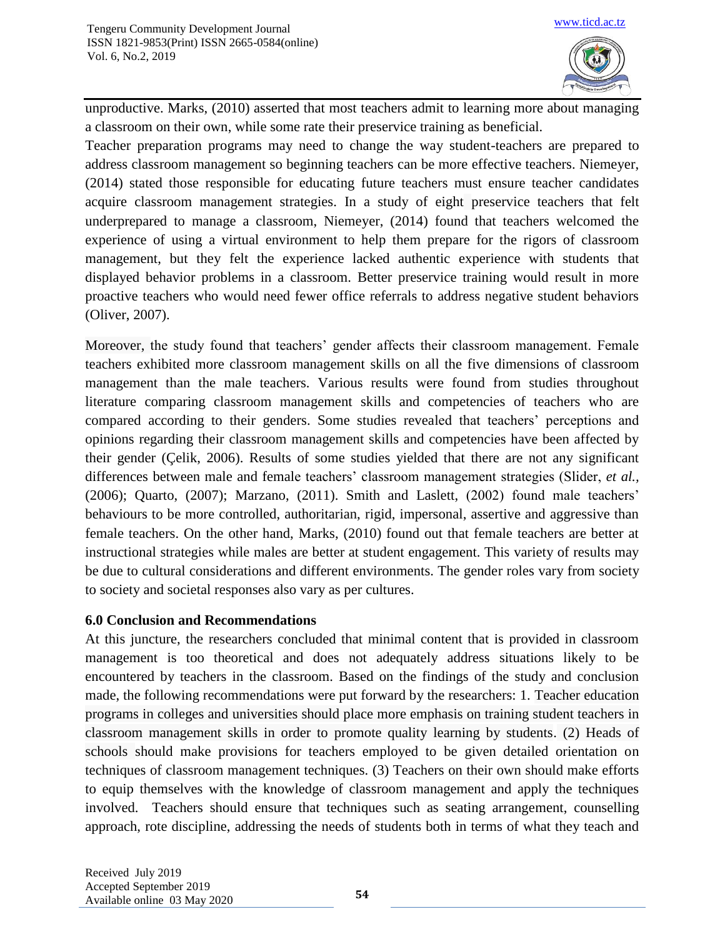

unproductive. Marks, (2010) asserted that most teachers admit to learning more about managing a classroom on their own, while some rate their preservice training as beneficial.

Teacher preparation programs may need to change the way student-teachers are prepared to address classroom management so beginning teachers can be more effective teachers. Niemeyer, (2014) stated those responsible for educating future teachers must ensure teacher candidates acquire classroom management strategies. In a study of eight preservice teachers that felt underprepared to manage a classroom, Niemeyer, (2014) found that teachers welcomed the experience of using a virtual environment to help them prepare for the rigors of classroom management, but they felt the experience lacked authentic experience with students that displayed behavior problems in a classroom. Better preservice training would result in more proactive teachers who would need fewer office referrals to address negative student behaviors (Oliver, 2007).

Moreover, the study found that teachers' gender affects their classroom management. Female teachers exhibited more classroom management skills on all the five dimensions of classroom management than the male teachers. Various results were found from studies throughout literature comparing classroom management skills and competencies of teachers who are compared according to their genders. Some studies revealed that teachers' perceptions and opinions regarding their classroom management skills and competencies have been affected by their gender (Çelik, 2006). Results of some studies yielded that there are not any significant differences between male and female teachers' classroom management strategies (Slider, *et al.,*  (2006); Quarto, (2007); Marzano, (2011). Smith and Laslett, (2002) found male teachers' behaviours to be more controlled, authoritarian, rigid, impersonal, assertive and aggressive than female teachers. On the other hand, Marks, (2010) found out that female teachers are better at instructional strategies while males are better at student engagement. This variety of results may be due to cultural considerations and different environments. The gender roles vary from society to society and societal responses also vary as per cultures.

## **6.0 Conclusion and Recommendations**

At this juncture, the researchers concluded that minimal content that is provided in classroom management is too theoretical and does not adequately address situations likely to be encountered by teachers in the classroom. Based on the findings of the study and conclusion made, the following recommendations were put forward by the researchers: 1. Teacher education programs in colleges and universities should place more emphasis on training student teachers in classroom management skills in order to promote quality learning by students. (2) Heads of schools should make provisions for teachers employed to be given detailed orientation on techniques of classroom management techniques. (3) Teachers on their own should make efforts to equip themselves with the knowledge of classroom management and apply the techniques involved. Teachers should ensure that techniques such as seating arrangement, counselling approach, rote discipline, addressing the needs of students both in terms of what they teach and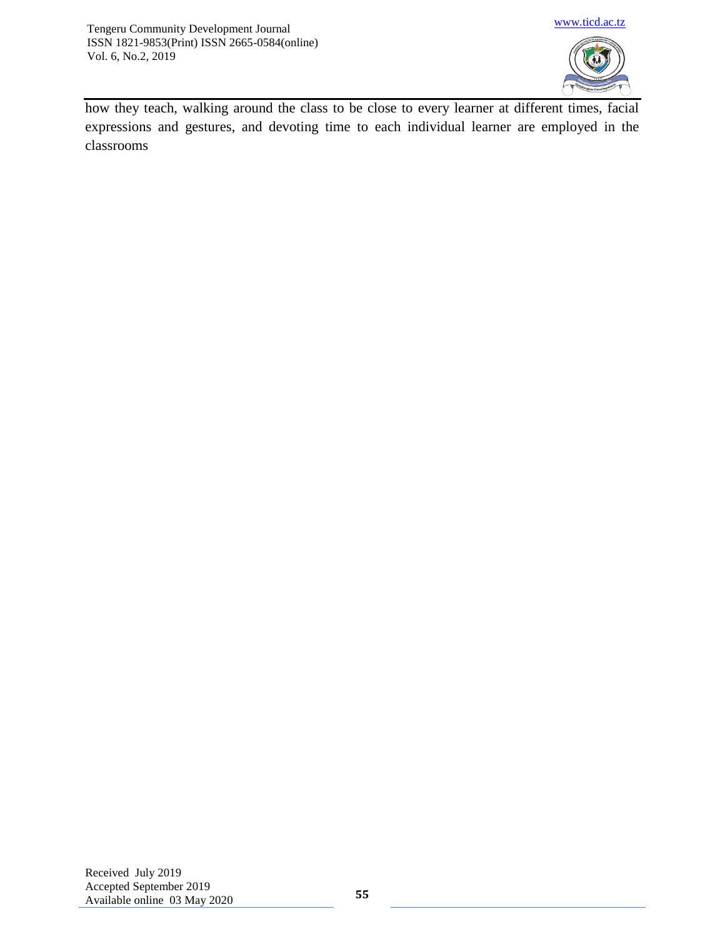

how they teach, walking around the class to be close to every learner at different times, facial expressions and gestures, and devoting time to each individual learner are employed in the classrooms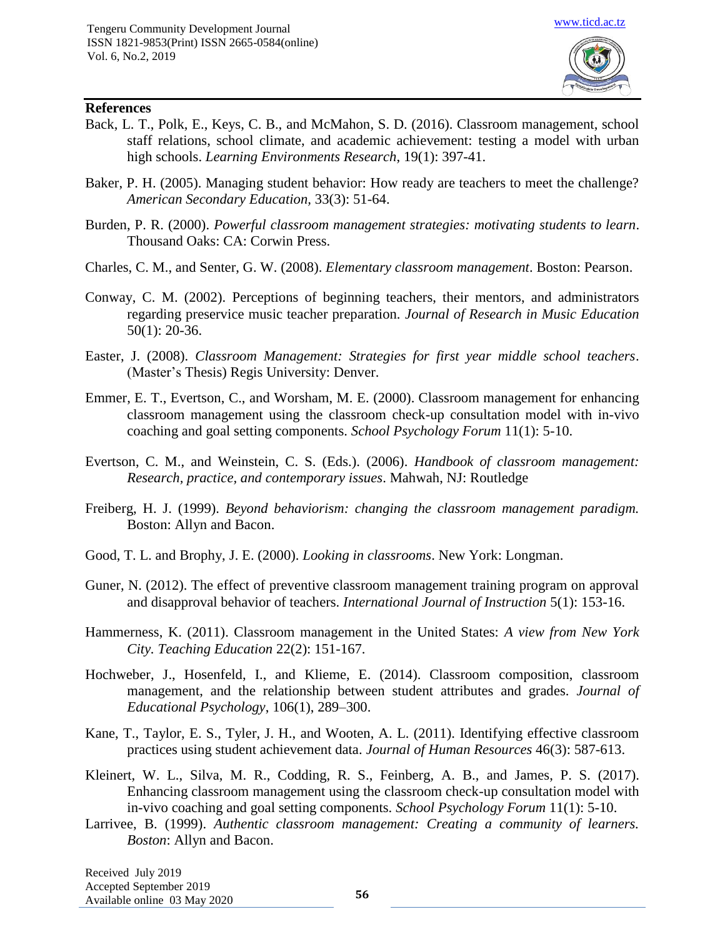

## **References**

- Back, L. T., Polk, E., Keys, C. B., and McMahon, S. D. (2016). Classroom management, school staff relations, school climate, and academic achievement: testing a model with urban high schools. *Learning Environments Research*, 19(1): 397-41.
- Baker, P. H. (2005). Managing student behavior: How ready are teachers to meet the challenge? *American Secondary Education,* 33(3): 51-64.
- Burden, P. R. (2000). *Powerful classroom management strategies: motivating students to learn*. Thousand Oaks: CA: Corwin Press.
- Charles, C. M., and Senter, G. W. (2008). *Elementary classroom management*. Boston: Pearson.
- Conway, C. M. (2002). Perceptions of beginning teachers, their mentors, and administrators regarding preservice music teacher preparation. *Journal of Research in Music Education*  50(1): 20-36.
- Easter, J. (2008). *Classroom Management: Strategies for first year middle school teachers*. (Master's Thesis) Regis University: Denver.
- Emmer, E. T., Evertson, C., and Worsham, M. E. (2000). Classroom management for enhancing classroom management using the classroom check-up consultation model with in-vivo coaching and goal setting components. *School Psychology Forum* 11(1): 5-10.
- Evertson, C. M., and Weinstein, C. S. (Eds.). (2006). *Handbook of classroom management: Research, practice, and contemporary issues*. Mahwah, NJ: Routledge
- Freiberg, H. J. (1999). *Beyond behaviorism: changing the classroom management paradigm.*  Boston: Allyn and Bacon.
- Good, T. L. and Brophy, J. E. (2000). *Looking in classrooms*. New York: Longman.
- Guner, N. (2012). The effect of preventive classroom management training program on approval and disapproval behavior of teachers. *International Journal of Instruction* 5(1): 153-16.
- Hammerness, K. (2011). Classroom management in the United States: *A view from New York City. Teaching Education* 22(2): 151-167.
- Hochweber, J., Hosenfeld, I., and Klieme, E. (2014). Classroom composition, classroom management, and the relationship between student attributes and grades. *Journal of Educational Psychology*, 106(1), 289–300.
- Kane, T., Taylor, E. S., Tyler, J. H., and Wooten, A. L. (2011). Identifying effective classroom practices using student achievement data. *Journal of Human Resources* 46(3): 587-613.
- Kleinert, W. L., Silva, M. R., Codding, R. S., Feinberg, A. B., and James, P. S. (2017). Enhancing classroom management using the classroom check-up consultation model with in-vivo coaching and goal setting components. *School Psychology Forum* 11(1): 5-10.
- Larrivee, B. (1999). *Authentic classroom management: Creating a community of learners. Boston*: Allyn and Bacon.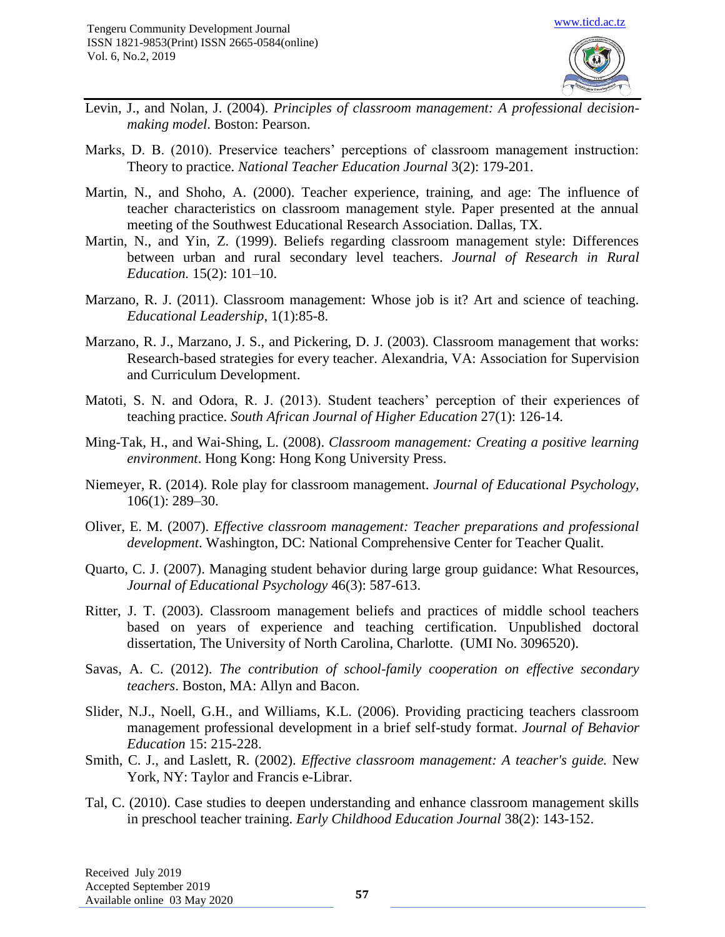

- Levin, J., and Nolan, J. (2004). *Principles of classroom management: A professional decisionmaking model*. Boston: Pearson.
- Marks, D. B. (2010). Preservice teachers' perceptions of classroom management instruction: Theory to practice. *National Teacher Education Journal* 3(2): 179-201.
- Martin, N., and Shoho, A. (2000). Teacher experience, training, and age: The influence of teacher characteristics on classroom management style. Paper presented at the annual meeting of the Southwest Educational Research Association. Dallas, TX.
- Martin, N., and Yin, Z. (1999). Beliefs regarding classroom management style: Differences between urban and rural secondary level teachers. *Journal of Research in Rural Education.* 15(2): 101–10.
- Marzano, R. J. (2011). Classroom management: Whose job is it? Art and science of teaching. *Educational Leadership*, 1(1):85-8.
- Marzano, R. J., Marzano, J. S., and Pickering, D. J. (2003). Classroom management that works: Research-based strategies for every teacher. Alexandria, VA: Association for Supervision and Curriculum Development.
- Matoti, S. N. and Odora, R. J. (2013). Student teachers' perception of their experiences of teaching practice. *South African Journal of Higher Education* 27(1): 126-14.
- Ming-Tak, H., and Wai-Shing, L. (2008). *Classroom management: Creating a positive learning environment*. Hong Kong: Hong Kong University Press.
- Niemeyer, R. (2014). Role play for classroom management. *Journal of Educational Psychology,* 106(1): 289–30.
- Oliver, E. M. (2007). *Effective classroom management: Teacher preparations and professional development*. Washington, DC: National Comprehensive Center for Teacher Qualit.
- Quarto, C. J. (2007). Managing student behavior during large group guidance: What Resources, *Journal of Educational Psychology* 46(3): 587-613.
- Ritter, J. T. (2003). Classroom management beliefs and practices of middle school teachers based on years of experience and teaching certification. Unpublished doctoral dissertation, The University of North Carolina, Charlotte. (UMI No. 3096520).
- Savas, A. C. (2012). *The contribution of school-family cooperation on effective secondary teachers*. Boston, MA: Allyn and Bacon.
- Slider, N.J., Noell, G.H., and Williams, K.L. (2006). Providing practicing teachers classroom management professional development in a brief self-study format. *Journal of Behavior Education* 15: 215-228.
- Smith, C. J., and Laslett, R. (2002). *Effective classroom management: A teacher's guide.* New York, NY: Taylor and Francis e-Librar.
- Tal, C. (2010). Case studies to deepen understanding and enhance classroom management skills in preschool teacher training. *Early Childhood Education Journal* 38(2): 143-152.